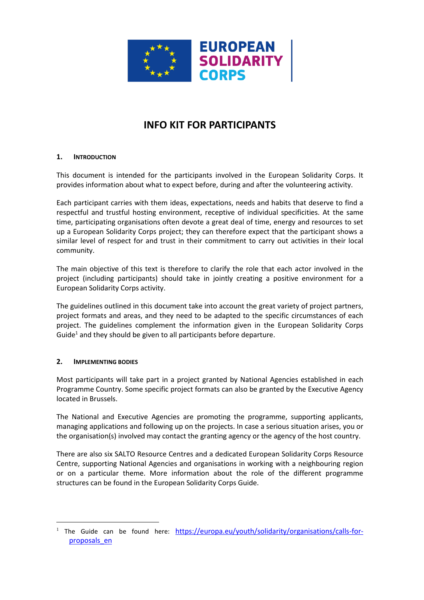

# **INFO KIT FOR PARTICIPANTS**

# **1. INTRODUCTION**

This document is intended for the participants involved in the European Solidarity Corps. It provides information about what to expect before, during and after the volunteering activity.

Each participant carries with them ideas, expectations, needs and habits that deserve to find a respectful and trustful hosting environment, receptive of individual specificities. At the same time, participating organisations often devote a great deal of time, energy and resources to set up a European Solidarity Corps project; they can therefore expect that the participant shows a similar level of respect for and trust in their commitment to carry out activities in their local community.

The main objective of this text is therefore to clarify the role that each actor involved in the project (including participants) should take in jointly creating a positive environment for a European Solidarity Corps activity.

The guidelines outlined in this document take into account the great variety of project partners, project formats and areas, and they need to be adapted to the specific circumstances of each project. The guidelines complement the information given in the European Solidarity Corps Guide<sup>1</sup> and they should be given to all participants before departure.

## **2. IMPLEMENTING BODIES**

 $\overline{a}$ 

Most participants will take part in a project granted by National Agencies established in each Programme Country. Some specific project formats can also be granted by the Executive Agency located in Brussels.

The National and Executive Agencies are promoting the programme, supporting applicants, managing applications and following up on the projects. In case a serious situation arises, you or the organisation(s) involved may contact the granting agency or the agency of the host country.

There are also six SALTO Resource Centres and a dedicated European Solidarity Corps Resource Centre, supporting National Agencies and organisations in working with a neighbouring region or on a particular theme. More information about the role of the different programme structures can be found in the European Solidarity Corps Guide.

<sup>&</sup>lt;sup>1</sup> The Guide can be found here: [https://europa.eu/youth/solidarity/organisations/calls-for](https://europa.eu/youth/solidarity/organisations/calls-for-proposals_en)[proposals\\_en](https://europa.eu/youth/solidarity/organisations/calls-for-proposals_en)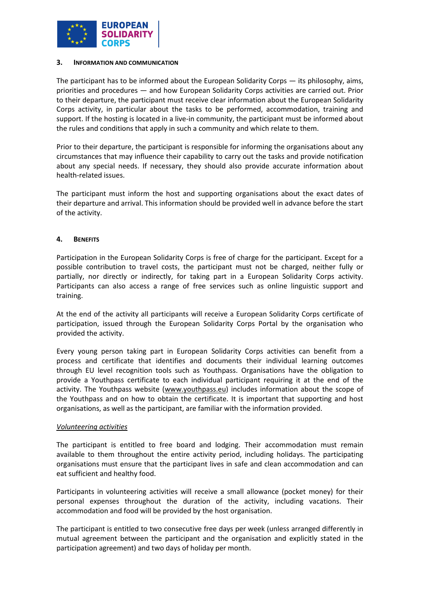

#### **3. INFORMATION AND COMMUNICATION**

The participant has to be informed about the European Solidarity Corps — its philosophy, aims, priorities and procedures — and how European Solidarity Corps activities are carried out. Prior to their departure, the participant must receive clear information about the European Solidarity Corps activity, in particular about the tasks to be performed, accommodation, training and support. If the hosting is located in a live-in community, the participant must be informed about the rules and conditions that apply in such a community and which relate to them.

Prior to their departure, the participant is responsible for informing the organisations about any circumstances that may influence their capability to carry out the tasks and provide notification about any special needs. If necessary, they should also provide accurate information about health-related issues.

The participant must inform the host and supporting organisations about the exact dates of their departure and arrival. This information should be provided well in advance before the start of the activity.

## **4. BENEFITS**

Participation in the European Solidarity Corps is free of charge for the participant. Except for a possible contribution to travel costs, the participant must not be charged, neither fully or partially, nor directly or indirectly, for taking part in a European Solidarity Corps activity. Participants can also access a range of free services such as online linguistic support and training.

At the end of the activity all participants will receive a European Solidarity Corps certificate of participation, issued through the European Solidarity Corps Portal by the organisation who provided the activity.

Every young person taking part in European Solidarity Corps activities can benefit from a process and certificate that identifies and documents their individual learning outcomes through EU level recognition tools such as Youthpass. Organisations have the obligation to provide a Youthpass certificate to each individual participant requiring it at the end of the activity. The Youthpass website [\(www.youthpass.eu\)](http://www.youthpass.eu/) includes information about the scope of the Youthpass and on how to obtain the certificate. It is important that supporting and host organisations, as well as the participant, are familiar with the information provided.

## *Volunteering activities*

The participant is entitled to free board and lodging. Their accommodation must remain available to them throughout the entire activity period, including holidays. The participating organisations must ensure that the participant lives in safe and clean accommodation and can eat sufficient and healthy food.

Participants in volunteering activities will receive a small allowance (pocket money) for their personal expenses throughout the duration of the activity, including vacations. Their accommodation and food will be provided by the host organisation.

The participant is entitled to two consecutive free days per week (unless arranged differently in mutual agreement between the participant and the organisation and explicitly stated in the participation agreement) and two days of holiday per month.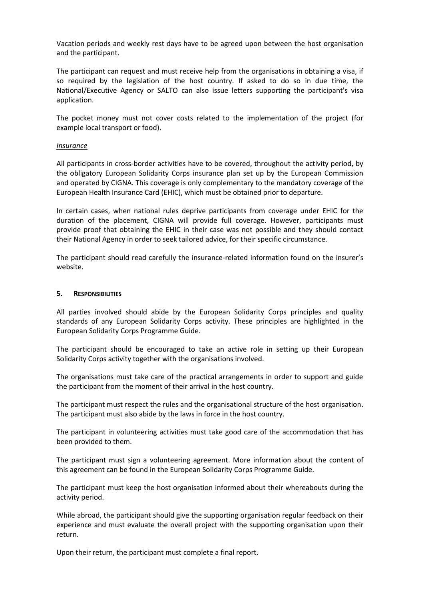Vacation periods and weekly rest days have to be agreed upon between the host organisation and the participant.

The participant can request and must receive help from the organisations in obtaining a visa, if so required by the legislation of the host country. If asked to do so in due time, the National/Executive Agency or SALTO can also issue letters supporting the participant's visa application.

The pocket money must not cover costs related to the implementation of the project (for example local transport or food).

#### *Insurance*

All participants in cross-border activities have to be covered, throughout the activity period, by the obligatory European Solidarity Corps insurance plan set up by the European Commission and operated by CIGNA. This coverage is only complementary to the mandatory coverage of the European Health Insurance Card (EHIC), which must be obtained prior to departure.

In certain cases, when national rules deprive participants from coverage under EHIC for the duration of the placement, CIGNA will provide full coverage. However, participants must provide proof that obtaining the EHIC in their case was not possible and they should contact their National Agency in order to seek tailored advice, for their specific circumstance.

The participant should read carefully the insurance-related information found on the insurer's website.

#### **5. RESPONSIBILITIES**

All parties involved should abide by the European Solidarity Corps principles and quality standards of any European Solidarity Corps activity. These principles are highlighted in the European Solidarity Corps Programme Guide.

The participant should be encouraged to take an active role in setting up their European Solidarity Corps activity together with the organisations involved.

The organisations must take care of the practical arrangements in order to support and guide the participant from the moment of their arrival in the host country.

The participant must respect the rules and the organisational structure of the host organisation. The participant must also abide by the laws in force in the host country.

The participant in volunteering activities must take good care of the accommodation that has been provided to them.

The participant must sign a volunteering agreement. More information about the content of this agreement can be found in the European Solidarity Corps Programme Guide.

The participant must keep the host organisation informed about their whereabouts during the activity period.

While abroad, the participant should give the supporting organisation regular feedback on their experience and must evaluate the overall project with the supporting organisation upon their return.

Upon their return, the participant must complete a final report.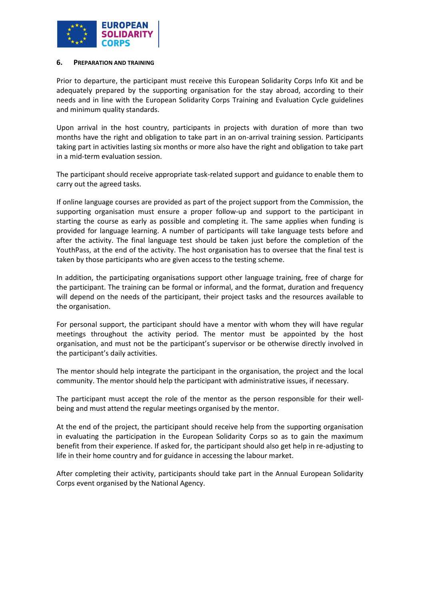

#### **6. PREPARATION AND TRAINING**

Prior to departure, the participant must receive this European Solidarity Corps Info Kit and be adequately prepared by the supporting organisation for the stay abroad, according to their needs and in line with the European Solidarity Corps Training and Evaluation Cycle guidelines and minimum quality standards.

Upon arrival in the host country, participants in projects with duration of more than two months have the right and obligation to take part in an on-arrival training session. Participants taking part in activities lasting six months or more also have the right and obligation to take part in a mid-term evaluation session.

The participant should receive appropriate task-related support and guidance to enable them to carry out the agreed tasks.

If online language courses are provided as part of the project support from the Commission, the supporting organisation must ensure a proper follow-up and support to the participant in starting the course as early as possible and completing it. The same applies when funding is provided for language learning. A number of participants will take language tests before and after the activity. The final language test should be taken just before the completion of the YouthPass, at the end of the activity. The host organisation has to oversee that the final test is taken by those participants who are given access to the testing scheme.

In addition, the participating organisations support other language training, free of charge for the participant. The training can be formal or informal, and the format, duration and frequency will depend on the needs of the participant, their project tasks and the resources available to the organisation.

For personal support, the participant should have a mentor with whom they will have regular meetings throughout the activity period. The mentor must be appointed by the host organisation, and must not be the participant's supervisor or be otherwise directly involved in the participant's daily activities.

The mentor should help integrate the participant in the organisation, the project and the local community. The mentor should help the participant with administrative issues, if necessary.

The participant must accept the role of the mentor as the person responsible for their wellbeing and must attend the regular meetings organised by the mentor.

At the end of the project, the participant should receive help from the supporting organisation in evaluating the participation in the European Solidarity Corps so as to gain the maximum benefit from their experience. If asked for, the participant should also get help in re-adjusting to life in their home country and for guidance in accessing the labour market.

After completing their activity, participants should take part in the Annual European Solidarity Corps event organised by the National Agency.